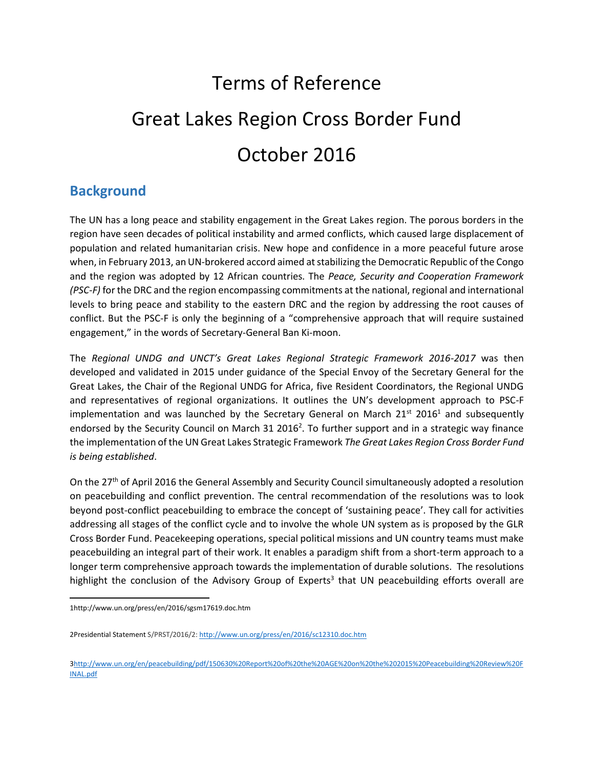# Terms of Reference Great Lakes Region Cross Border Fund October 2016

## **Background**

The UN has a long peace and stability engagement in the Great Lakes region. The porous borders in the region have seen decades of political instability and armed conflicts, which caused large displacement of population and related humanitarian crisis. New hope and confidence in a more peaceful future arose when, in February 2013, an UN-brokered accord aimed at stabilizing the Democratic Republic of the Congo and the region was adopted by 12 African countries. The *Peace, Security and Cooperation Framework (PSC-F)* for the DRC and the region encompassing commitments at the national, regional and international levels to bring peace and stability to the eastern DRC and the region by addressing the root causes of conflict. But the PSC-F is only the beginning of a "comprehensive approach that will require sustained engagement," in the words of Secretary-General Ban Ki-moon.

The *Regional UNDG and UNCT's Great Lakes Regional Strategic Framework 2016-2017* was then developed and validated in 2015 under guidance of the Special Envoy of the Secretary General for the Great Lakes, the Chair of the Regional UNDG for Africa, five Resident Coordinators, the Regional UNDG and representatives of regional organizations. It outlines the UN's development approach to PSC-F implementation and was launched by the Secretary General on March  $21<sup>st</sup> 2016<sup>1</sup>$  and subsequently endorsed by the Security Council on March 31 2016<sup>2</sup>. To further support and in a strategic way finance the implementation of the UN Great Lakes Strategic Framework *The Great Lakes Region Cross Border Fund is being established*.

On the 27<sup>th</sup> of April 2016 the General Assembly and Security Council simultaneously adopted a resolution on peacebuilding and conflict prevention. The central recommendation of the resolutions was to look beyond post-conflict peacebuilding to embrace the concept of 'sustaining peace'. They call for activities addressing all stages of the conflict cycle and to involve the whole UN system as is proposed by the GLR Cross Border Fund. Peacekeeping operations, special political missions and UN country teams must make peacebuilding an integral part of their work. It enables a paradigm shift from a short-term approach to a longer term comprehensive approach towards the implementation of durable solutions. The resolutions highlight the conclusion of the Advisory Group of Experts<sup>3</sup> that UN peacebuilding efforts overall are

 $\overline{a}$ 

<sup>1</sup>http://www.un.org/press/en/2016/sgsm17619.doc.htm

<sup>2</sup>Presidential Statement S/PRST/2016/2[: http://www.un.org/press/en/2016/sc12310.doc.htm](http://www.un.org/press/en/2016/sc12310.doc.htm)

[<sup>3</sup>http://www.un.org/en/peacebuilding/pdf/150630%20Report%20of%20the%20AGE%20on%20the%202015%20Peacebuilding%20Review%20F](http://www.un.org/en/peacebuilding/pdf/150630%20Report%20of%20the%20AGE%20on%20the%202015%20Peacebuilding%20Review%20FINAL.pdf) [INAL.pdf](http://www.un.org/en/peacebuilding/pdf/150630%20Report%20of%20the%20AGE%20on%20the%202015%20Peacebuilding%20Review%20FINAL.pdf)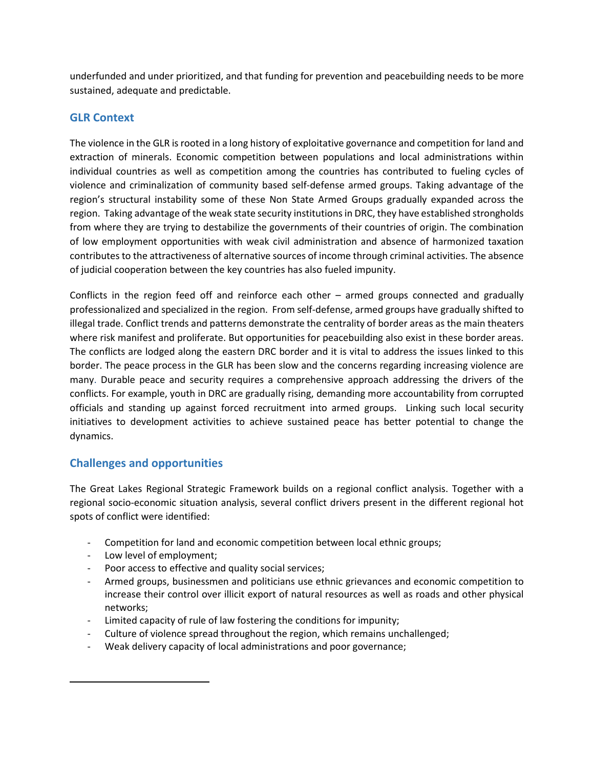underfunded and under prioritized, and that funding for prevention and peacebuilding needs to be more sustained, adequate and predictable.

#### **GLR Context**

The violence in the GLR is rooted in a long history of exploitative governance and competition for land and extraction of minerals. Economic competition between populations and local administrations within individual countries as well as competition among the countries has contributed to fueling cycles of violence and criminalization of community based self-defense armed groups. Taking advantage of the region's structural instability some of these Non State Armed Groups gradually expanded across the region. Taking advantage of the weak state security institutions in DRC, they have established strongholds from where they are trying to destabilize the governments of their countries of origin. The combination of low employment opportunities with weak civil administration and absence of harmonized taxation contributes to the attractiveness of alternative sources of income through criminal activities. The absence of judicial cooperation between the key countries has also fueled impunity.

Conflicts in the region feed off and reinforce each other – armed groups connected and gradually professionalized and specialized in the region. From self-defense, armed groups have gradually shifted to illegal trade. Conflict trends and patterns demonstrate the centrality of border areas as the main theaters where risk manifest and proliferate. But opportunities for peacebuilding also exist in these border areas. The conflicts are lodged along the eastern DRC border and it is vital to address the issues linked to this border. The peace process in the GLR has been slow and the concerns regarding increasing violence are many. Durable peace and security requires a comprehensive approach addressing the drivers of the conflicts. For example, youth in DRC are gradually rising, demanding more accountability from corrupted officials and standing up against forced recruitment into armed groups. Linking such local security initiatives to development activities to achieve sustained peace has better potential to change the dynamics.

#### **Challenges and opportunities**

The Great Lakes Regional Strategic Framework builds on a regional conflict analysis. Together with a regional socio-economic situation analysis, several conflict drivers present in the different regional hot spots of conflict were identified:

- Competition for land and economic competition between local ethnic groups;
- Low level of employment;

 $\overline{a}$ 

- Poor access to effective and quality social services;
- Armed groups, businessmen and politicians use ethnic grievances and economic competition to increase their control over illicit export of natural resources as well as roads and other physical networks;
- Limited capacity of rule of law fostering the conditions for impunity;
- Culture of violence spread throughout the region, which remains unchallenged;
- Weak delivery capacity of local administrations and poor governance;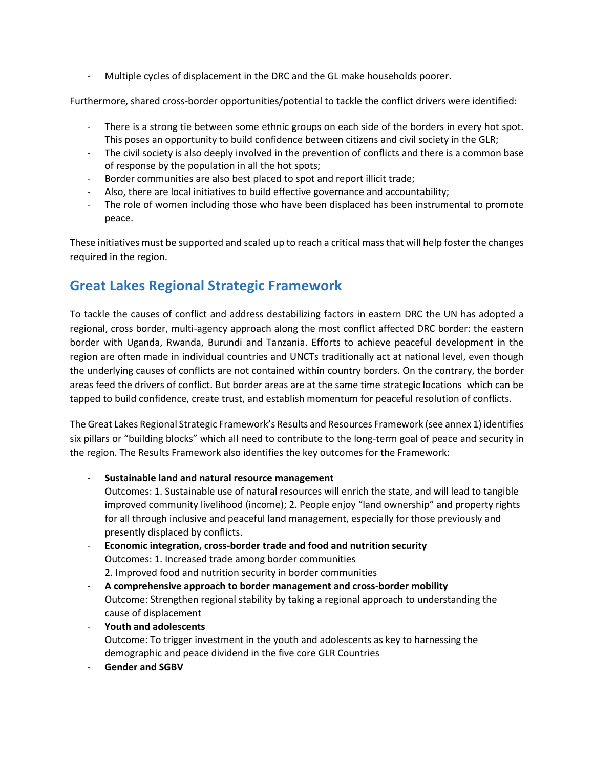Multiple cycles of displacement in the DRC and the GL make households poorer.

Furthermore, shared cross-border opportunities/potential to tackle the conflict drivers were identified:

- There is a strong tie between some ethnic groups on each side of the borders in every hot spot. This poses an opportunity to build confidence between citizens and civil society in the GLR;
- The civil society is also deeply involved in the prevention of conflicts and there is a common base of response by the population in all the hot spots;
- Border communities are also best placed to spot and report illicit trade;
- Also, there are local initiatives to build effective governance and accountability;
- The role of women including those who have been displaced has been instrumental to promote peace.

These initiatives must be supported and scaled up to reach a critical mass that will help foster the changes required in the region.

## **Great Lakes Regional Strategic Framework**

To tackle the causes of conflict and address destabilizing factors in eastern DRC the UN has adopted a regional, cross border, multi-agency approach along the most conflict affected DRC border: the eastern border with Uganda, Rwanda, Burundi and Tanzania. Efforts to achieve peaceful development in the region are often made in individual countries and UNCTs traditionally act at national level, even though the underlying causes of conflicts are not contained within country borders. On the contrary, the border areas feed the drivers of conflict. But border areas are at the same time strategic locations which can be tapped to build confidence, create trust, and establish momentum for peaceful resolution of conflicts.

The Great Lakes Regional Strategic Framework's Results and Resources Framework (see annex 1) identifies six pillars or "building blocks" which all need to contribute to the long-term goal of peace and security in the region. The Results Framework also identifies the key outcomes for the Framework:

- **Sustainable land and natural resource management** Outcomes: 1. Sustainable use of natural resources will enrich the state, and will lead to tangible improved community livelihood (income); 2. People enjoy "land ownership" and property rights

for all through inclusive and peaceful land management, especially for those previously and presently displaced by conflicts.

- **Economic integration, cross-border trade and food and nutrition security** Outcomes: 1. Increased trade among border communities 2. Improved food and nutrition security in border communities
- **A comprehensive approach to border management and cross-border mobility**  Outcome: Strengthen regional stability by taking a regional approach to understanding the cause of displacement
- **Youth and adolescents** Outcome: To trigger investment in the youth and adolescents as key to harnessing the demographic and peace dividend in the five core GLR Countries
- Gender and SGBV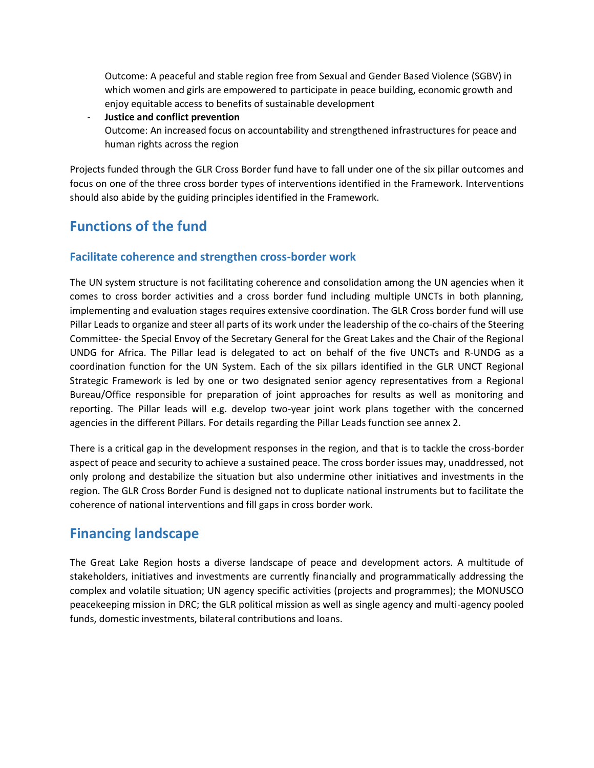Outcome: A peaceful and stable region free from Sexual and Gender Based Violence (SGBV) in which women and girls are empowered to participate in peace building, economic growth and enjoy equitable access to benefits of sustainable development

- **Justice and conflict prevention** Outcome: An increased focus on accountability and strengthened infrastructures for peace and human rights across the region

Projects funded through the GLR Cross Border fund have to fall under one of the six pillar outcomes and focus on one of the three cross border types of interventions identified in the Framework. Interventions should also abide by the guiding principles identified in the Framework.

# **Functions of the fund**

#### **Facilitate coherence and strengthen cross-border work**

The UN system structure is not facilitating coherence and consolidation among the UN agencies when it comes to cross border activities and a cross border fund including multiple UNCTs in both planning, implementing and evaluation stages requires extensive coordination. The GLR Cross border fund will use Pillar Leads to organize and steer all parts of its work under the leadership of the co-chairs of the Steering Committee- the Special Envoy of the Secretary General for the Great Lakes and the Chair of the Regional UNDG for Africa. The Pillar lead is delegated to act on behalf of the five UNCTs and R-UNDG as a coordination function for the UN System. Each of the six pillars identified in the GLR UNCT Regional Strategic Framework is led by one or two designated senior agency representatives from a Regional Bureau/Office responsible for preparation of joint approaches for results as well as monitoring and reporting. The Pillar leads will e.g. develop two-year joint work plans together with the concerned agencies in the different Pillars. For details regarding the Pillar Leads function see annex 2.

There is a critical gap in the development responses in the region, and that is to tackle the cross-border aspect of peace and security to achieve a sustained peace. The cross border issues may, unaddressed, not only prolong and destabilize the situation but also undermine other initiatives and investments in the region. The GLR Cross Border Fund is designed not to duplicate national instruments but to facilitate the coherence of national interventions and fill gaps in cross border work.

## **Financing landscape**

The Great Lake Region hosts a diverse landscape of peace and development actors. A multitude of stakeholders, initiatives and investments are currently financially and programmatically addressing the complex and volatile situation; UN agency specific activities (projects and programmes); the MONUSCO peacekeeping mission in DRC; the GLR political mission as well as single agency and multi-agency pooled funds, domestic investments, bilateral contributions and loans.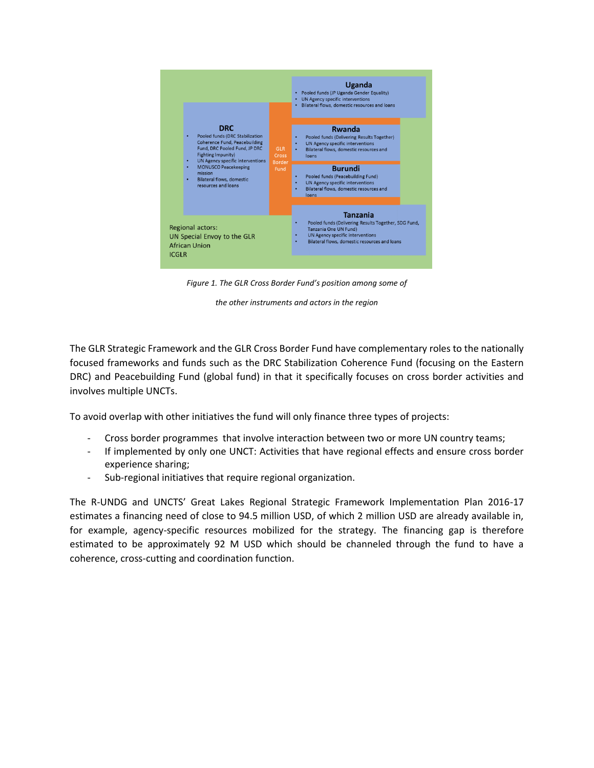

*Figure 1. The GLR Cross Border Fund's position among some of*

*the other instruments and actors in the region*

The GLR Strategic Framework and the GLR Cross Border Fund have complementary roles to the nationally focused frameworks and funds such as the DRC Stabilization Coherence Fund (focusing on the Eastern DRC) and Peacebuilding Fund (global fund) in that it specifically focuses on cross border activities and involves multiple UNCTs.

To avoid overlap with other initiatives the fund will only finance three types of projects:

- Cross border programmes that involve interaction between two or more UN country teams;
- If implemented by only one UNCT: Activities that have regional effects and ensure cross border experience sharing;
- Sub-regional initiatives that require regional organization.

The R-UNDG and UNCTS' Great Lakes Regional Strategic Framework Implementation Plan 2016-17 estimates a financing need of close to 94.5 million USD, of which 2 million USD are already available in, for example, agency-specific resources mobilized for the strategy. The financing gap is therefore estimated to be approximately 92 M USD which should be channeled through the fund to have a coherence, cross-cutting and coordination function.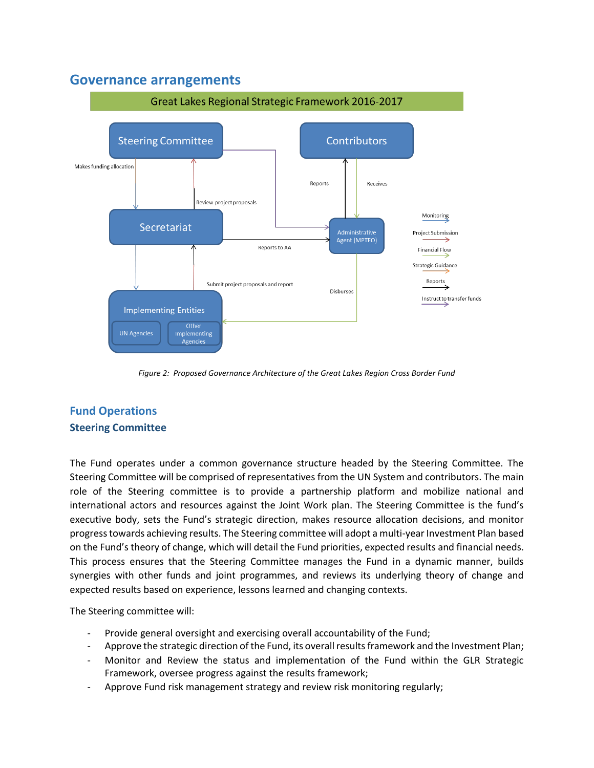## **Governance arrangements**



*Figure 2: Proposed Governance Architecture of the Great Lakes Region Cross Border Fund* 

### **Fund Operations Steering Committee**

The Fund operates under a common governance structure headed by the Steering Committee. The Steering Committee will be comprised of representatives from the UN System and contributors. The main role of the Steering committee is to provide a partnership platform and mobilize national and international actors and resources against the Joint Work plan. The Steering Committee is the fund's executive body, sets the Fund's strategic direction, makes resource allocation decisions, and monitor progress towards achieving results. The Steering committee will adopt a multi-year Investment Plan based on the Fund's theory of change, which will detail the Fund priorities, expected results and financial needs. This process ensures that the Steering Committee manages the Fund in a dynamic manner, builds synergies with other funds and joint programmes, and reviews its underlying theory of change and expected results based on experience, lessons learned and changing contexts.

The Steering committee will:

- Provide general oversight and exercising overall accountability of the Fund;
- Approve the strategic direction of the Fund, its overall results framework and the Investment Plan;
- Monitor and Review the status and implementation of the Fund within the GLR Strategic Framework, oversee progress against the results framework;
- Approve Fund risk management strategy and review risk monitoring regularly;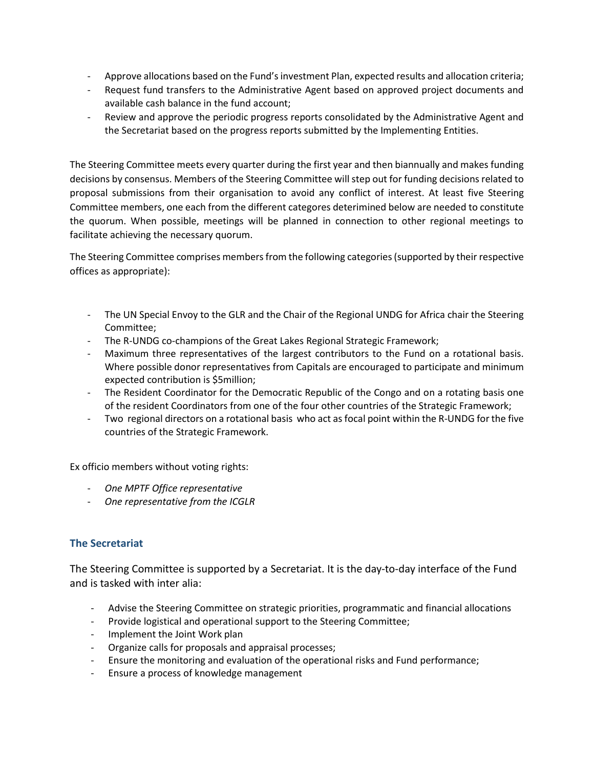- Approve allocations based on the Fund's investment Plan, expected results and allocation criteria;
- Request fund transfers to the Administrative Agent based on approved project documents and available cash balance in the fund account;
- Review and approve the periodic progress reports consolidated by the Administrative Agent and the Secretariat based on the progress reports submitted by the Implementing Entities.

The Steering Committee meets every quarter during the first year and then biannually and makes funding decisions by consensus. Members of the Steering Committee will step out for funding decisions related to proposal submissions from their organisation to avoid any conflict of interest. At least five Steering Committee members, one each from the different categores deterimined below are needed to constitute the quorum. When possible, meetings will be planned in connection to other regional meetings to facilitate achieving the necessary quorum.

The Steering Committee comprises members from the following categories (supported by their respective offices as appropriate):

- The UN Special Envoy to the GLR and the Chair of the Regional UNDG for Africa chair the Steering Committee;
- The R-UNDG co-champions of the Great Lakes Regional Strategic Framework;
- Maximum three representatives of the largest contributors to the Fund on a rotational basis. Where possible donor representatives from Capitals are encouraged to participate and minimum expected contribution is \$5million;
- The Resident Coordinator for the Democratic Republic of the Congo and on a rotating basis one of the resident Coordinators from one of the four other countries of the Strategic Framework;
- Two regional directors on a rotational basis who act as focal point within the R-UNDG for the five countries of the Strategic Framework.

Ex officio members without voting rights:

- *One MPTF Office representative*
- *One representative from the ICGLR*

#### **The Secretariat**

The Steering Committee is supported by a Secretariat. It is the day-to-day interface of the Fund and is tasked with inter alia:

- Advise the Steering Committee on strategic priorities, programmatic and financial allocations
- Provide logistical and operational support to the Steering Committee;
- Implement the Joint Work plan
- Organize calls for proposals and appraisal processes;
- Ensure the monitoring and evaluation of the operational risks and Fund performance;
- Ensure a process of knowledge management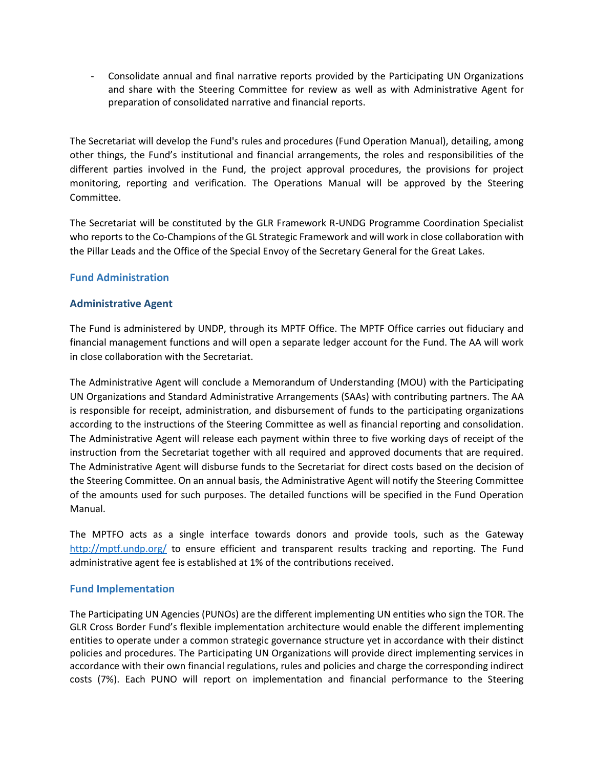- Consolidate annual and final narrative reports provided by the Participating UN Organizations and share with the Steering Committee for review as well as with Administrative Agent for preparation of consolidated narrative and financial reports.

The Secretariat will develop the Fund's rules and procedures (Fund Operation Manual), detailing, among other things, the Fund's institutional and financial arrangements, the roles and responsibilities of the different parties involved in the Fund, the project approval procedures, the provisions for project monitoring, reporting and verification. The Operations Manual will be approved by the Steering Committee.

The Secretariat will be constituted by the GLR Framework R-UNDG Programme Coordination Specialist who reports to the Co-Champions of the GL Strategic Framework and will work in close collaboration with the Pillar Leads and the Office of the Special Envoy of the Secretary General for the Great Lakes.

#### **Fund Administration**

#### **Administrative Agent**

The Fund is administered by UNDP, through its MPTF Office. The MPTF Office carries out fiduciary and financial management functions and will open a separate ledger account for the Fund. The AA will work in close collaboration with the Secretariat.

The Administrative Agent will conclude a Memorandum of Understanding (MOU) with the Participating UN Organizations and Standard Administrative Arrangements (SAAs) with contributing partners. The AA is responsible for receipt, administration, and disbursement of funds to the participating organizations according to the instructions of the Steering Committee as well as financial reporting and consolidation. The Administrative Agent will release each payment within three to five working days of receipt of the instruction from the Secretariat together with all required and approved documents that are required. The Administrative Agent will disburse funds to the Secretariat for direct costs based on the decision of the Steering Committee. On an annual basis, the Administrative Agent will notify the Steering Committee of the amounts used for such purposes. The detailed functions will be specified in the Fund Operation Manual.

The MPTFO acts as a single interface towards donors and provide tools, such as the Gateway <http://mptf.undp.org/> to ensure efficient and transparent results tracking and reporting. The Fund administrative agent fee is established at 1% of the contributions received.

#### **Fund Implementation**

The Participating UN Agencies (PUNOs) are the different implementing UN entities who sign the TOR. The GLR Cross Border Fund's flexible implementation architecture would enable the different implementing entities to operate under a common strategic governance structure yet in accordance with their distinct policies and procedures. The Participating UN Organizations will provide direct implementing services in accordance with their own financial regulations, rules and policies and charge the corresponding indirect costs (7%). Each PUNO will report on implementation and financial performance to the Steering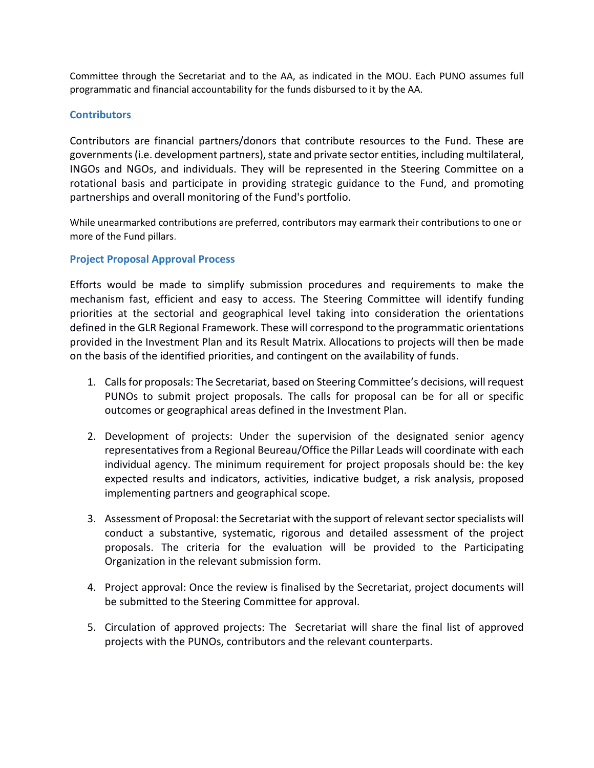Committee through the Secretariat and to the AA, as indicated in the MOU. Each PUNO assumes full programmatic and financial accountability for the funds disbursed to it by the AA.

#### **Contributors**

Contributors are financial partners/donors that contribute resources to the Fund. These are governments (i.e. development partners), state and private sector entities, including multilateral, INGOs and NGOs, and individuals. They will be represented in the Steering Committee on a rotational basis and participate in providing strategic guidance to the Fund, and promoting partnerships and overall monitoring of the Fund's portfolio.

While unearmarked contributions are preferred, contributors may earmark their contributions to one or more of the Fund pillars.

#### **Project Proposal Approval Process**

Efforts would be made to simplify submission procedures and requirements to make the mechanism fast, efficient and easy to access. The Steering Committee will identify funding priorities at the sectorial and geographical level taking into consideration the orientations defined in the GLR Regional Framework. These will correspond to the programmatic orientations provided in the Investment Plan and its Result Matrix. Allocations to projects will then be made on the basis of the identified priorities, and contingent on the availability of funds.

- 1. Callsfor proposals: The Secretariat, based on Steering Committee's decisions, will request PUNOs to submit project proposals. The calls for proposal can be for all or specific outcomes or geographical areas defined in the Investment Plan.
- 2. Development of projects: Under the supervision of the designated senior agency representatives from a Regional Beureau/Office the Pillar Leads will coordinate with each individual agency. The minimum requirement for project proposals should be: the key expected results and indicators, activities, indicative budget, a risk analysis, proposed implementing partners and geographical scope.
- 3. Assessment of Proposal: the Secretariat with the support of relevant sector specialists will conduct a substantive, systematic, rigorous and detailed assessment of the project proposals. The criteria for the evaluation will be provided to the Participating Organization in the relevant submission form.
- 4. Project approval: Once the review is finalised by the Secretariat, project documents will be submitted to the Steering Committee for approval.
- 5. Circulation of approved projects: The Secretariat will share the final list of approved projects with the PUNOs, contributors and the relevant counterparts.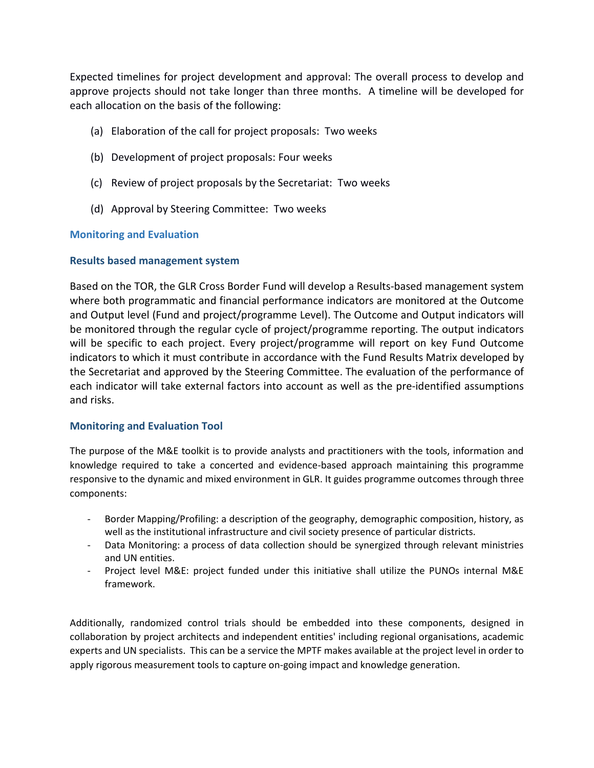Expected timelines for project development and approval: The overall process to develop and approve projects should not take longer than three months. A timeline will be developed for each allocation on the basis of the following:

- (a) Elaboration of the call for project proposals: Two weeks
- (b) Development of project proposals: Four weeks
- (c) Review of project proposals by the Secretariat: Two weeks
- (d) Approval by Steering Committee: Two weeks

#### **Monitoring and Evaluation**

#### **Results based management system**

Based on the TOR, the GLR Cross Border Fund will develop a Results-based management system where both programmatic and financial performance indicators are monitored at the Outcome and Output level (Fund and project/programme Level). The Outcome and Output indicators will be monitored through the regular cycle of project/programme reporting. The output indicators will be specific to each project. Every project/programme will report on key Fund Outcome indicators to which it must contribute in accordance with the Fund Results Matrix developed by the Secretariat and approved by the Steering Committee. The evaluation of the performance of each indicator will take external factors into account as well as the pre-identified assumptions and risks.

#### **Monitoring and Evaluation Tool**

The purpose of the M&E toolkit is to provide analysts and practitioners with the tools, information and knowledge required to take a concerted and evidence-based approach maintaining this programme responsive to the dynamic and mixed environment in GLR. It guides programme outcomes through three components:

- Border Mapping/Profiling: a description of the geography, demographic composition, history, as well as the institutional infrastructure and civil society presence of particular districts.
- Data Monitoring: a process of data collection should be synergized through relevant ministries and UN entities.
- Project level M&E: project funded under this initiative shall utilize the PUNOs internal M&E framework.

Additionally, randomized control trials should be embedded into these components, designed in collaboration by project architects and independent entities' including regional organisations, academic experts and UN specialists. This can be a service the MPTF makes available at the project level in order to apply rigorous measurement tools to capture on-going impact and knowledge generation.